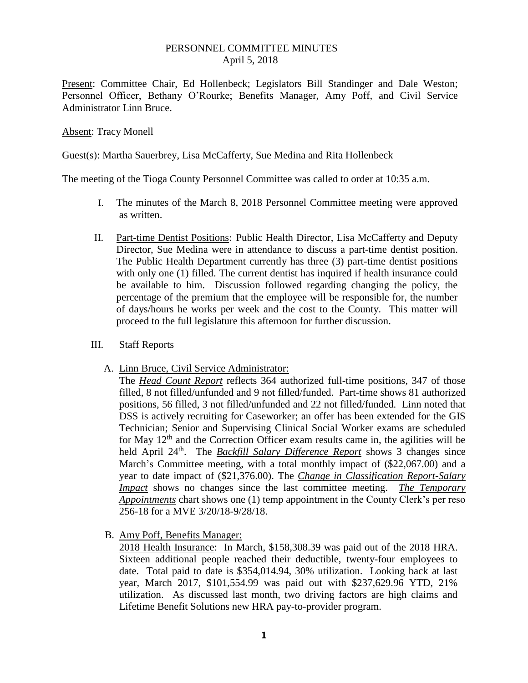## PERSONNEL COMMITTEE MINUTES April 5, 2018

Present: Committee Chair, Ed Hollenbeck; Legislators Bill Standinger and Dale Weston; Personnel Officer, Bethany O'Rourke; Benefits Manager, Amy Poff, and Civil Service Administrator Linn Bruce.

## Absent: Tracy Monell

Guest(s): Martha Sauerbrey, Lisa McCafferty, Sue Medina and Rita Hollenbeck

The meeting of the Tioga County Personnel Committee was called to order at 10:35 a.m.

- I. The minutes of the March 8, 2018 Personnel Committee meeting were approved as written.
- II. Part-time Dentist Positions: Public Health Director, Lisa McCafferty and Deputy Director, Sue Medina were in attendance to discuss a part-time dentist position. The Public Health Department currently has three (3) part-time dentist positions with only one (1) filled. The current dentist has inquired if health insurance could be available to him. Discussion followed regarding changing the policy, the percentage of the premium that the employee will be responsible for, the number of days/hours he works per week and the cost to the County. This matter will proceed to the full legislature this afternoon for further discussion.
- III. Staff Reports
	- A. Linn Bruce, Civil Service Administrator:

The *Head Count Report* reflects 364 authorized full-time positions, 347 of those filled, 8 not filled/unfunded and 9 not filled/funded. Part-time shows 81 authorized positions, 56 filled, 3 not filled/unfunded and 22 not filled/funded. Linn noted that DSS is actively recruiting for Caseworker; an offer has been extended for the GIS Technician; Senior and Supervising Clinical Social Worker exams are scheduled for May  $12<sup>th</sup>$  and the Correction Officer exam results came in, the agilities will be held April 24<sup>th</sup>. The *Backfill Salary Difference Report* shows 3 changes since March's Committee meeting, with a total monthly impact of (\$22,067.00) and a year to date impact of (\$21,376.00). The *Change in Classification Report-Salary Impact* shows no changes since the last committee meeting. *The Temporary Appointments* chart shows one (1) temp appointment in the County Clerk's per reso 256-18 for a MVE 3/20/18-9/28/18.

B. Amy Poff, Benefits Manager:

2018 Health Insurance: In March, \$158,308.39 was paid out of the 2018 HRA. Sixteen additional people reached their deductible, twenty-four employees to date. Total paid to date is \$354,014.94, 30% utilization. Looking back at last year, March 2017, \$101,554.99 was paid out with \$237,629.96 YTD, 21% utilization. As discussed last month, two driving factors are high claims and Lifetime Benefit Solutions new HRA pay-to-provider program.